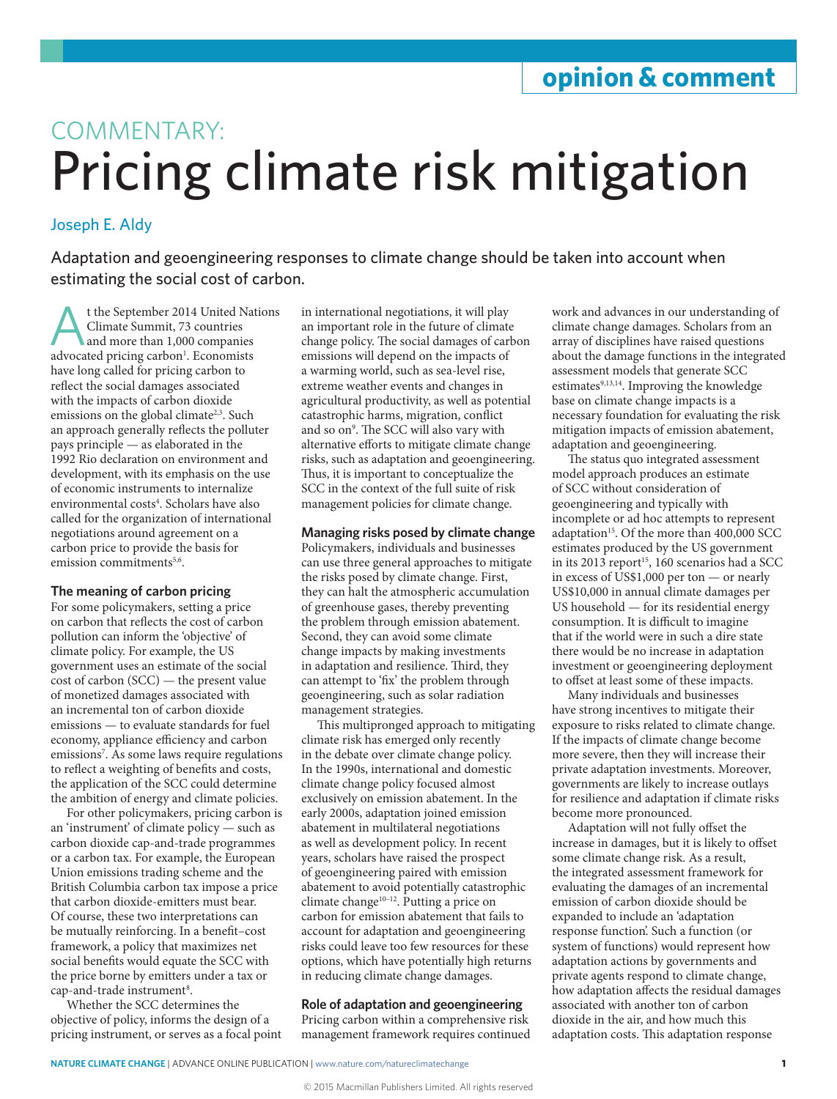# COMMENTARY: Pricing climate risk mitigation

## Joseph E. Aldy

Adaptation and geoengineering responses to climate change should be taken into account when estimating the social cost of carbon.

t the September 2014 United Nations Climate Summit, 73 countries and more than 1,000 companies advocated pricing carbon<sup>1</sup>. Economists have long called for pricing carbon to reflect the social damages associated with the impacts of carbon dioxide emissions on the global climate<sup>2,3</sup>. Such an approach generally reflects the polluter pays principle — as elaborated in the 1992 Rio declaration on environment and development, with its emphasis on the use of economic instruments to internalize environmental costs4 . Scholars have also called for the organization of international negotiations around agreement on a carbon price to provide the basis for emission commitments<sup>5,6</sup>

## **The meaning of carbon pricing**

For some policymakers, setting a price on carbon that reflects the cost of carbon pollution can inform the 'objective' of climate policy. For example, the US government uses an estimate of the social cost of carbon (SCC) — the present value of monetized damages associated with an incremental ton of carbon dioxide emissions — to evaluate standards for fuel economy, appliance efficiency and carbon emissions7 . As some laws require regulations to reflect a weighting of benefits and costs, the application of the SCC could determine the ambition of energy and climate policies.

For other policymakers, pricing carbon is an 'instrument' of climate policy — such as carbon dioxide cap-and-trade programmes or a carbon tax. For example, the European Union emissions trading scheme and the British Columbia carbon tax impose a price that carbon dioxide-emitters must bear. Of course, these two interpretations can be mutually reinforcing. In a benefit–cost framework, a policy that maximizes net social benefits would equate the SCC with the price borne by emitters under a tax or cap-and-trade instrument<sup>8</sup>.

Whether the SCC determines the objective of policy, informs the design of a pricing instrument, or serves as a focal point in international negotiations, it will play an important role in the future of climate change policy. The social damages of carbon emissions will depend on the impacts of a warming world, such as sea-level rise, extreme weather events and changes in agricultural productivity, as well as potential catastrophic harms, migration, conflict and so on<sup>9</sup>. The SCC will also vary with alternative efforts to mitigate climate change risks, such as adaptation and geoengineering. Thus, it is important to conceptualize the SCC in the context of the full suite of risk management policies for climate change.

### **Managing risks posed by climate change**

Policymakers, individuals and businesses can use three general approaches to mitigate the risks posed by climate change. First, they can halt the atmospheric accumulation of greenhouse gases, thereby preventing the problem through emission abatement. Second, they can avoid some climate change impacts by making investments in adaptation and resilience. Third, they can attempt to 'fix' the problem through geoengineering, such as solar radiation management strategies.

This multipronged approach to mitigating climate risk has emerged only recently in the debate over climate change policy. In the 1990s, international and domestic climate change policy focused almost exclusively on emission abatement. In the early 2000s, adaptation joined emission abatement in multilateral negotiations as well as development policy. In recent years, scholars have raised the prospect of geoengineering paired with emission abatement to avoid potentially catastrophic climate change<sup>10-12</sup>. Putting a price on carbon for emission abatement that fails to account for adaptation and geoengineering risks could leave too few resources for these options, which have potentially high returns in reducing climate change damages.

**Role of adaptation and geoengineering** Pricing carbon within a comprehensive risk management framework requires continued

work and advances in our understanding of climate change damages. Scholars from an array of disciplines have raised questions about the damage functions in the integrated assessment models that generate SCC estimates<sup>9,13,14</sup>. Improving the knowledge base on climate change impacts is a necessary foundation for evaluating the risk mitigation impacts of emission abatement, adaptation and geoengineering.

The status quo integrated assessment model approach produces an estimate of SCC without consideration of geoengineering and typically with incomplete or ad hoc attempts to represent adaptation<sup>15</sup>. Of the more than 400,000 SCC estimates produced by the US government in its 2013 report<sup>15</sup>, 160 scenarios had a SCC in excess of US\$1,000 per ton — or nearly US\$10,000 in annual climate damages per US household — for its residential energy consumption. It is difficult to imagine that if the world were in such a dire state there would be no increase in adaptation investment or geoengineering deployment to offset at least some of these impacts.

Many individuals and businesses have strong incentives to mitigate their exposure to risks related to climate change. If the impacts of climate change become more severe, then they will increase their private adaptation investments. Moreover, governments are likely to increase outlays for resilience and adaptation if climate risks become more pronounced.

Adaptation will not fully offset the increase in damages, but it is likely to offset some climate change risk. As a result, the integrated assessment framework for evaluating the damages of an incremental emission of carbon dioxide should be expanded to include an 'adaptation response function'. Such a function (or system of functions) would represent how adaptation actions by governments and private agents respond to climate change, how adaptation affects the residual damages associated with another ton of carbon dioxide in the air, and how much this adaptation costs. This adaptation response